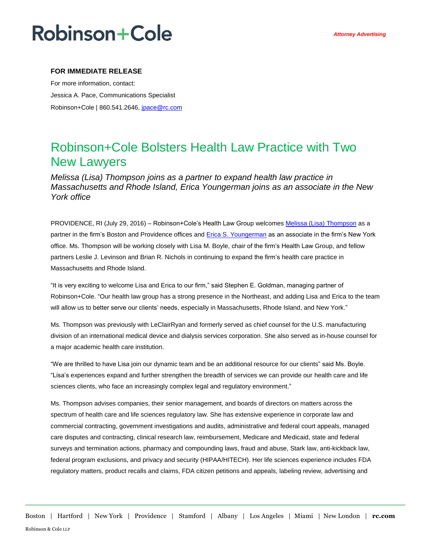## **Robinson+Cole**

### **FOR IMMEDIATE RELEASE**

For more information, contact: Jessica A. Pace, Communications Specialist Robinson+Cole | 860.541.2646, [jpace@rc.com](mailto:jgagnon@rc.com)

### Robinson+Cole Bolsters Health Law Practice with Two New Lawyers

*Melissa (Lisa) Thompson joins as a partner to expand health law practice in Massachusetts and Rhode Island, Erica Youngerman joins as an associate in the New York office*

PROVIDENCE, RI (July 29, 2016) – Robinson+Cole's Health Law Group welcomes Melissa [\(Lisa\) Thompson](http://www.rc.com/people/MelissaMThompson.cfm) as a partner in the firm's Boston and Providence offices and **Erica S. Youngerman** as an associate in the firm's New York office. Ms. Thompson will be working closely with Lisa M. Boyle, chair of the firm's Health Law Group, and fellow partners Leslie J. Levinson and Brian R. Nichols in continuing to expand the firm's health care practice in Massachusetts and Rhode Island.

"It is very exciting to welcome Lisa and Erica to our firm," said Stephen E. Goldman, managing partner of Robinson+Cole. "Our health law group has a strong presence in the Northeast, and adding Lisa and Erica to the team will allow us to better serve our clients' needs, especially in Massachusetts, Rhode Island, and New York."

Ms. Thompson was previously with LeClairRyan and formerly served as chief counsel for the U.S. manufacturing division of an international medical device and dialysis services corporation. She also served as in-house counsel for a major academic health care institution.

"We are thrilled to have Lisa join our dynamic team and be an additional resource for our clients" said Ms. Boyle. "Lisa's experiences expand and further strengthen the breadth of services we can provide our health care and life sciences clients, who face an increasingly complex legal and regulatory environment."

Ms. Thompson advises companies, their senior management, and boards of directors on matters across the spectrum of health care and life sciences regulatory law. She has extensive experience in corporate law and commercial contracting, government investigations and audits, administrative and federal court appeals, managed care disputes and contracting, clinical research law, reimbursement, Medicare and Medicaid, state and federal surveys and termination actions, pharmacy and compounding laws, fraud and abuse, Stark law, anti-kickback law, federal program exclusions, and privacy and security (HIPAA/HITECH). Her life sciences experience includes FDA regulatory matters, product recalls and claims, FDA citizen petitions and appeals, labeling review, advertising and

Boston | Hartford | New York | Providence | Stamford | Albany | Los Angeles | Miami | New London | **rc.com** Robinson & Cole LLP